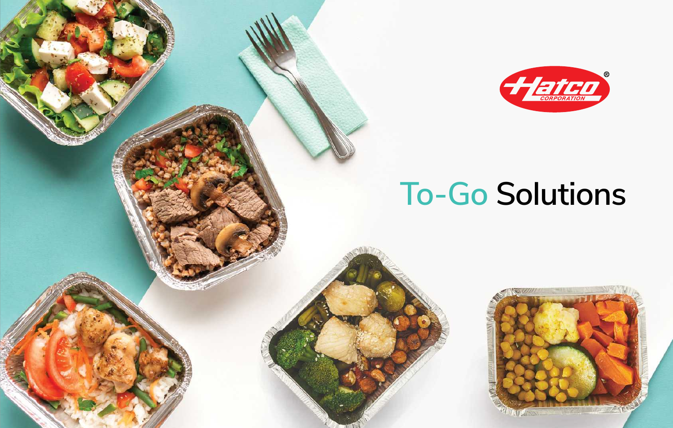

## **To-Go Solutions**

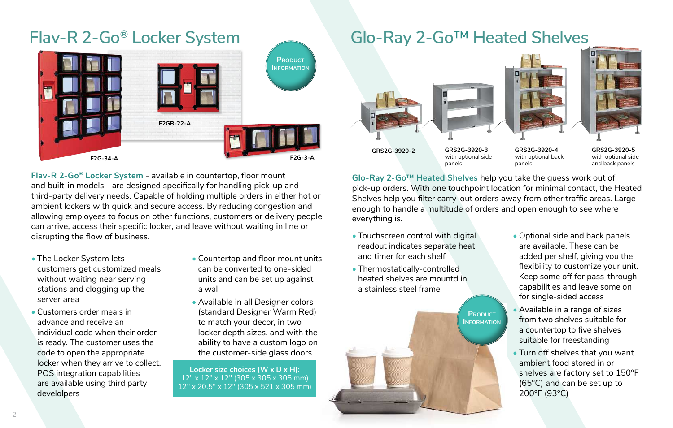

**Flav-R 2-Go® Locker System** - available in countertop, floor mount and built-in models - are designed specifically for handling pick-up and third-party delivery needs. Capable of holding multiple orders in either hot or ambient lockers with quick and secure access. By reducing congestion and allowing employees to focus on other functions, customers or delivery people can arrive, access their specific locker, and leave without waiting in line or disrupting the flow of business.

- The Locker System lets customers get customized meals without waiting near serving stations and clogging up the server area
- Customers order meals in advance and receive an individual code when their order is ready. The customer uses the code to open the appropriate locker when they arrive to collect. POS integration capabilities are available using third party develolpers
- Countertop and floor mount units can be converted to one-sided units and can be set up against a wall
- Available in all *Designer* colors (standard *Designer* Warm Red) to match your decor, in two locker depth sizes, and with the ability to have a custom logo on the customer-side glass doors

**Locker size choices (W x D x H):**  12" x 12" x 12" (305 x 305 x 305 mm) 12" x 20.5" x 12" (305 x 521 x 305 mm)

## **Flav-R 2-Go® Locker System Glo-Ray 2-Go**™ **Heated Shelves**



**Glo-Ray 2-Go™ Heated Shelves** help you take the guess work out of pick-up orders. With one touchpoint location for minimal contact, the Heated Shelves help you filter carry-out orders away from other traffic areas. Large enough to handle a multitude of orders and open enough to see where everything is.

- Touchscreen control with digital readout indicates separate heat and timer for each shelf
- Thermostatically-controlled heated shelves are mountd in a stainless steel frame

**PRODUCT [Information](https://www.hatcocorp.com/en/equipment/delivery-to-go/heated-shelves)**

- Optional side and back panels are available. These can be added per shelf, giving you the flexibility to customize your unit. Keep some off for pass-through capabilities and leave some on for single-sided access
- Available in a range of sizes from two shelves suitable for a countertop to five shelves suitable for freestanding
- Turn off shelves that you want ambient food stored in or shelves are factory set to 150°F (65°C) and can be set up to 200°F (93°C)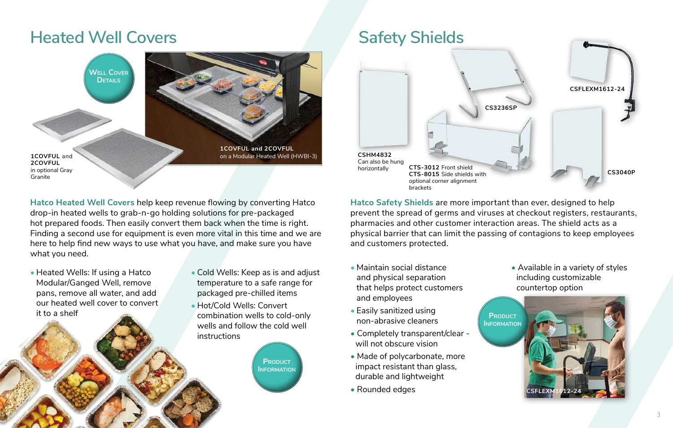## **Heated Well Covers Safety Shields**



**Hatco Heated Well Covers** help keep revenue flowing by converting Hatco drop-in heated wells to grab-n-go holding solutions for pre-packaged hot prepared foods. Then easily convert them back when the time is right. Finding a second use for equipment is even more vital in this time and we are here to help find new ways to use what you have, and make sure you have what you need.

- Heated Wells: If using a Hatco Modular/Ganged Well, remove pans, remove all water, and add our heated well cover to convert it to a shelf
- Cold Wells: Keep as is and adjust temperature to a safe range for packaged pre-chilled items
- Hot/Cold Wells: Convert combination wells to cold-only wells and follow the cold well instructions





**Hatco Safety Shields** are more important than ever, designed to help prevent the spread of germs and viruses at checkout registers, restaurants, pharmacies and other customer interaction areas. The shield acts as a physical barrier that can limit the passing of contagions to keep employees and customers protected.

- Maintain social distance and physical separation that helps protect customers and employees
- Easily sanitized using non-abrasive cleaners
- Completely transparent/clear will not obscure vision
- Made of polycarbonate, more impact resistant than glass, durable and lightweight
- Rounded edges

• Available in a variety of styles including customizable countertop option

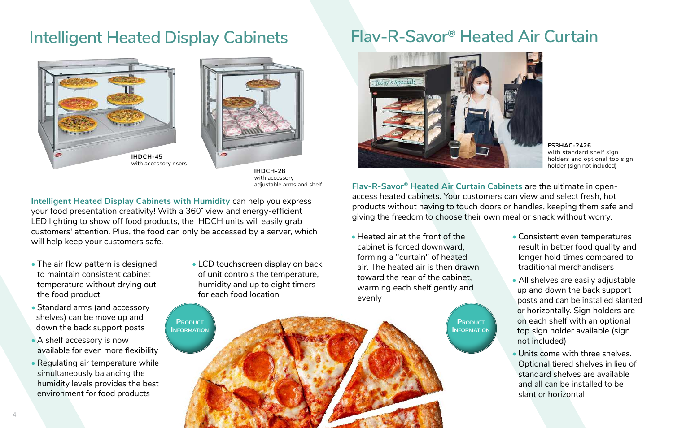### **Intelligent Heated Display Cabinets Flav-R-Savor® Heated Air Curtain**





with accessory adjustable arms and shelf

**Intelligent Heated Display Cabinets with Humidity** can help you express your food presentation creativity! With a 360˚ view and energy-efficient LED lighting to show off food products, the IHDCH units will easily grab customers' attention. Plus, the food can only be accessed by a server, which will help keep your customers safe.

- The air flow pattern is designed to maintain consistent cabinet temperature without drying out the food product
- Standard arms (and accessory shelves) can be move up and down the back support posts
- A shelf accessory is now available for even more flexibility
- Regulating air temperature while simultaneously balancing the humidity levels provides the best environment for food products

• LCD touchscreen display on back of unit controls the temperature, humidity and up to eight timers for each food location



**FS3HAC-2426** with standard shelf sign holders and optional top sign

**Flav-R-Savor® Heated Air Curtain Cabinets** are the ultimate in openaccess heated cabinets. Your customers can view and select fresh, hot products without having to touch doors or handles, keeping them safe and giving the freedom to choose their own meal or snack without worry.

• Heated air at the front of the cabinet is forced downward, forming a "curtain" of heated air. The heated air is then drawn toward the rear of the cabinet, warming each shelf gently and evenly

> **PRODUCT [Information](https://www.hatcocorp.com/en/equipment/cabinets/heated-air-curtain-cabinets/flav-r-savor-heated-air-curtain-cabinet-fs3hac)**

- Consistent even temperatures result in better food quality and longer hold times compared to traditional merchandisers
- All shelves are easily adjustable up and down the back support posts and can be installed slanted or horizontally. Sign holders are on each shelf with an optional top sign holder available (sign not included)
- Units come with three shelves. Optional tiered shelves in lieu of standard shelves are available and all can be installed to be slant or horizontal



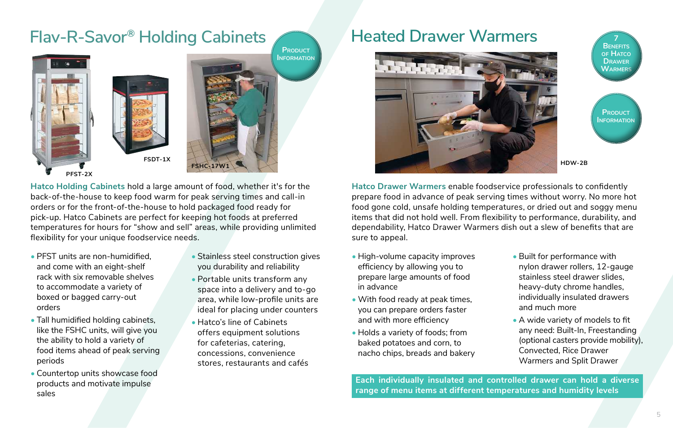## **Flav-R-Savor Heated Drawer Warmers ® Holding Cabinets**



**Hatco Holding Cabinets** hold a large amount of food, whether it's for the back-of-the-house to keep food warm for peak serving times and call-in orders or for the front-of-the-house to hold packaged food ready for pick-up. Hatco Cabinets are perfect for keeping hot foods at preferred temperatures for hours for "show and sell" areas, while providing unlimited flexibility for your unique foodservice needs.

- PFST units are non-humidified, and come with an eight-shelf rack with six removable shelves to accommodate a variety of boxed or bagged carry-out orders
- Tall humidified holding cabinets, like the FSHC units, will give you the ability to hold a variety of food items ahead of peak serving periods
- Countertop units showcase food products and motivate impulse sales
- Stainless steel construction gives you durability and reliability
- Portable units transform any space into a delivery and to-go area, while low-profile units are ideal for placing under counters
- Hatco's line of Cabinets offers equipment solutions for cafeterias, catering, concessions, convenience stores, restaurants and cafés







**HDW-2B**

**Hatco Drawer Warmers** enable foodservice professionals to confidently prepare food in advance of peak serving times without worry. No more hot food gone cold, unsafe holding temperatures, or dried out and soggy menu items that did not hold well. From flexibility to performance, durability, and dependability, Hatco Drawer Warmers dish out a slew of benefits that are sure to appeal.

- High-volume capacity improves efficiency by allowing you to prepare large amounts of food in advance
- With food ready at peak times, you can prepare orders faster and with more efficiency
- Holds a variety of foods; from baked potatoes and corn, to nacho chips, breads and bakery
- Built for performance with nylon drawer rollers, 12-gauge stainless steel drawer slides, heavy-duty chrome handles, individually insulated drawers and much more
- A wide variety of models to fit any need: Built-In, Freestanding (optional casters provide mobility), Convected, Rice Drawer Warmers and Split Drawer

**Each individually insulated and controlled drawer can hold a diverse range of menu items at different temperatures and humidity levels**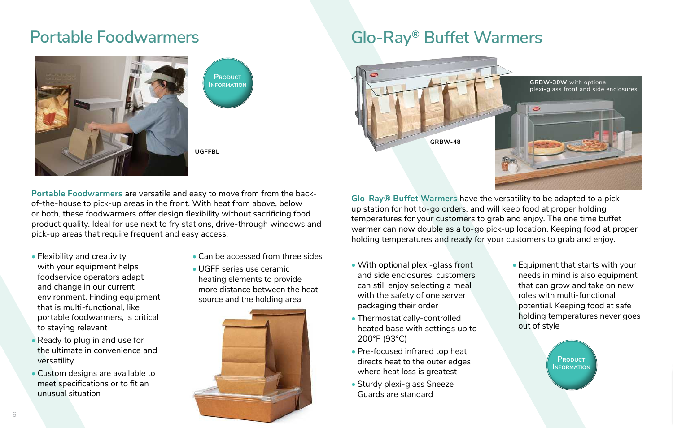

**PRODUCT [Information](https://www.hatcocorp.com/en/equipment/portables)**

## **Portable Foodwarmers Glo-Ray**® **Buffet Warmers**



**Portable Foodwarmers** are versatile and easy to move from from the backof-the-house to pick-up areas in the front. With heat from above, below or both, these foodwarmers offer design flexibility without sacrificing food product quality. Ideal for use next to fry stations, drive-through windows and pick-up areas that require frequent and easy access.

- Flexibility and creativity with your equipment helps foodservice operators adapt and change in our current environment. Finding equipment that is multi-functional, like portable foodwarmers, is critical to staying relevant
- Ready to plug in and use for the ultimate in convenience and versatility
- Custom designs are available to meet specifications or to fit an unusual situation
- Can be accessed from three sides
- UGFF series use ceramic heating elements to provide more distance between the heat source and the holding area



**Glo-Ray® Buffet Warmers** have the versatility to be adapted to a pickup station for hot to-go orders, and will keep food at proper holding temperatures for your customers to grab and enjoy. The one time buffet warmer can now double as a to-go pick-up location. Keeping food at proper holding temperatures and ready for your customers to grab and enjoy.

- With optional plexi-glass front and side enclosures, customers can still enjoy selecting a meal with the safety of one server packaging their order
- Thermostatically-controlled heated base with settings up to 200°F (93°C)
- Pre-focused infrared top heat directs heat to the outer edges where heat loss is greatest
- Sturdy plexi-glass Sneeze Guards are standard

• Equipment that starts with your needs in mind is also equipment that can grow and take on new roles with multi-functional potential. Keeping food at safe holding temperatures never goes out of style

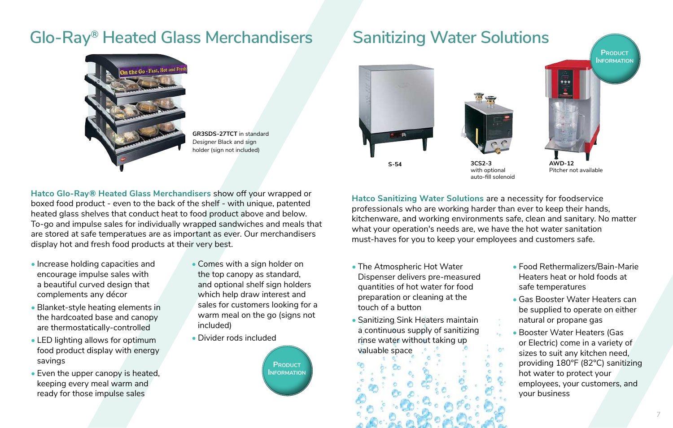## **Glo-Ray® Heated Glass Merchandisers Sanitizing Water Solutions**



**GR3SDS-27TCT** in standard *Designer* Black and sign holder (sign not included)

**Hatco Glo-Ray® Heated Glass Merchandisers** show off your wrapped or boxed food product - even to the back of the shelf - with unique, patented heated glass shelves that conduct heat to food product above and below. To-go and impulse sales for individually wrapped sandwiches and meals that are stored at safe temperatues are as important as ever. Our merchandisers display hot and fresh food products at their very best.

- Increase holding capacities and encourage impulse sales with a beautiful curved design that complements any décor
- Blanket-style heating elements in the hardcoated base and canopy are thermostatically-controlled
- LED lighting allows for optimum food product display with energy savings
- Even the upper canopy is heated, keeping every meal warm and ready for those impulse sales
- Comes with a sign holder on the top canopy as standard, and optional shelf sign holders which help draw interest and sales for customers looking for a warm meal on the go (signs not included)
- Divider rods included







Pitcher not available

**Hatco Sanitizing Water Solutions** are a necessity for foodservice professionals who are working harder than ever to keep their hands, kitchenware, and working environments safe, clean and sanitary. No matter what your operation's needs are, we have the hot water sanitation must-haves for you to keep your employees and customers safe.

- The Atmospheric Hot Water Dispenser delivers pre-measured quantities of hot water for food preparation or cleaning at the touch of a button
- Sanitizing Sink Heaters maintain a continuous supply of sanitizing rinse water without taking up valuable space
- Food Rethermalizers/Bain-Marie Heaters heat or hold foods at safe temperatures
- Gas Booster Water Heaters can be supplied to operate on either natural or propane gas
- Booster Water Heaters (Gas or Electric) come in a variety of sizes to suit any kitchen need, providing 180°F (82°C) sanitizing hot water to protect your employees, your customers, and your business